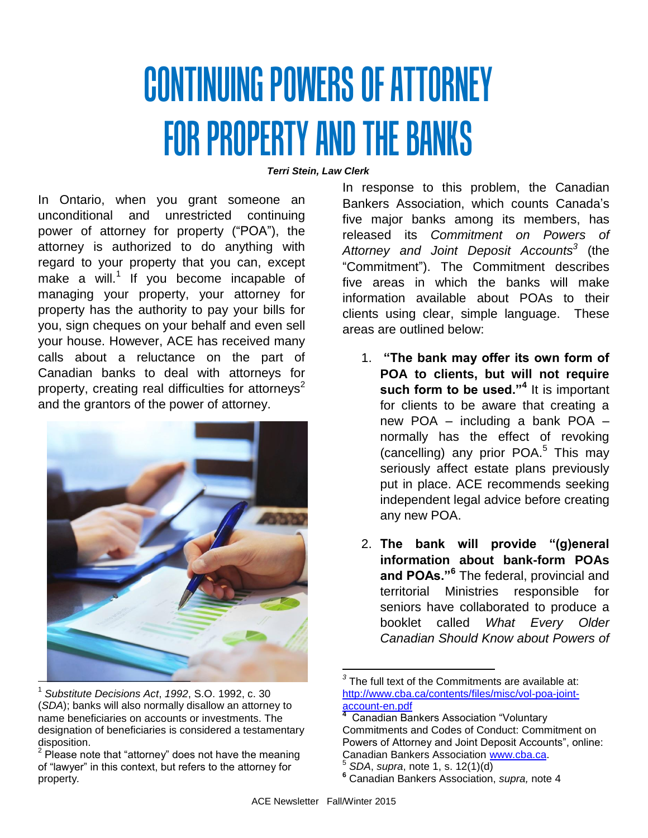## FOR PROPERTY AND THE BANKS

## *Terri Stein, Law Clerk*

In Ontario, when you grant someone an unconditional and unrestricted continuing power of attorney for property ("POA"), the attorney is authorized to do anything with regard to your property that you can, except make a will. $1$  If you become incapable of managing your property, your attorney for property has the authority to pay your bills for you, sign cheques on your behalf and even sell your house. However, ACE has received many calls about a reluctance on the part of Canadian banks to deal with attorneys for property, creating real difficulties for attorneys<sup>2</sup> and the grantors of the power of attorney.



<sup>1</sup> *Substitute Decisions Act*, *1992*, S.O. 1992, c. 30 (*SDA*); banks will also normally disallow an attorney to name beneficiaries on accounts or investments. The designation of beneficiaries is considered a testamentary disposition.

In response to this problem, the Canadian Bankers Association, which counts Canada's five major banks among its members, has released its *Commitment on Powers of Attorney and Joint Deposit Accounts<sup>3</sup>* (the "Commitment"). The Commitment describes five areas in which the banks will make information available about POAs to their clients using clear, simple language. These areas are outlined below:

- 1. **"The bank may offer its own form of POA to clients, but will not require such form to be used."<sup>4</sup>** It is important for clients to be aware that creating a new POA – including a bank POA – normally has the effect of revoking (cancelling) any prior  $POA.<sup>5</sup>$  This may seriously affect estate plans previously put in place. ACE recommends seeking independent legal advice before creating any new POA.
- 2. **The bank will provide "(g)eneral information about bank-form POAs and POAs."<sup>6</sup>** The federal, provincial and territorial Ministries responsible for seniors have collaborated to produce a booklet called *What Every Older Canadian Should Know about Powers of*

 $\overline{a}$ 

 $2$  Please note that "attorney" does not have the meaning of "lawyer" in this context, but refers to the attorney for property*.* 

*<sup>3</sup>* The full text of the Commitments are available at: [http://www.cba.ca/contents/files/misc/vol-poa-joint](http://www.cba.ca/contents/files/misc/vol-poa-joint-account-en.pdf)[account-en.pdf](http://www.cba.ca/contents/files/misc/vol-poa-joint-account-en.pdf)

**<sup>4</sup>** Canadian Bankers Association "Voluntary Commitments and Codes of Conduct: Commitment on Powers of Attorney and Joint Deposit Accounts", online: Canadian Bankers Association [www.cba.ca.](http://www.cba.ca/) 5

<sup>&</sup>lt;sup>5</sup> SDA, *supra*, note 1, s. 12(1)(d)<br><sup>6</sup> Canadian Bankers Association, *supra,* note 4